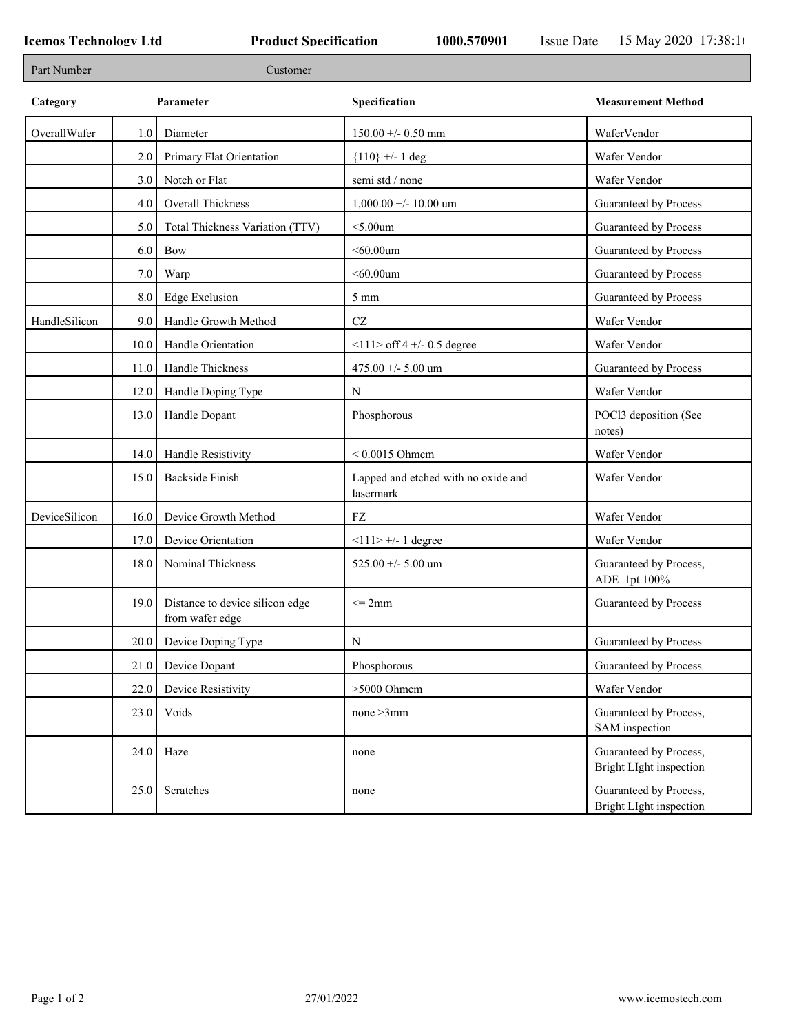| Part Number   | Customer |                                                    |                                                  |                                                   |  |
|---------------|----------|----------------------------------------------------|--------------------------------------------------|---------------------------------------------------|--|
| Category      |          | Parameter                                          | Specification                                    | <b>Measurement Method</b>                         |  |
| OverallWafer  | 1.0      | Diameter                                           | $150.00 + - 0.50$ mm                             | WaferVendor                                       |  |
|               | 2.0      | Primary Flat Orientation                           | ${110}$ +/- 1 deg                                | Wafer Vendor                                      |  |
|               | 3.0      | Notch or Flat                                      | semi std / none                                  | Wafer Vendor                                      |  |
|               | 4.0      | Overall Thickness                                  | $1,000.00 +/- 10.00$ um                          | Guaranteed by Process                             |  |
|               | 5.0      | Total Thickness Variation (TTV)                    | $<$ 5.00 $um$                                    | Guaranteed by Process                             |  |
|               | 6.0      | <b>Bow</b>                                         | $< 60.00$ um                                     | Guaranteed by Process                             |  |
|               | 7.0      | Warp                                               | $<$ 60.00 $um$                                   | Guaranteed by Process                             |  |
|               | 8.0      | <b>Edge Exclusion</b>                              | $5 \text{ mm}$                                   | Guaranteed by Process                             |  |
| HandleSilicon | 9.0      | Handle Growth Method                               | CZ                                               | Wafer Vendor                                      |  |
|               | 10.0     | Handle Orientation                                 | $11 >$ off 4 +/- 0.5 degree                      | Wafer Vendor                                      |  |
|               | 11.0     | Handle Thickness                                   | 475.00 +/- 5.00 um                               | Guaranteed by Process                             |  |
|               | 12.0     | Handle Doping Type                                 | N                                                | Wafer Vendor                                      |  |
|               | 13.0     | Handle Dopant                                      | Phosphorous                                      | POCl3 deposition (See<br>notes)                   |  |
|               | 14.0     | Handle Resistivity                                 | $< 0.0015$ Ohmem                                 | Wafer Vendor                                      |  |
|               | 15.0     | <b>Backside Finish</b>                             | Lapped and etched with no oxide and<br>lasermark | Wafer Vendor                                      |  |
| DeviceSilicon | 16.0     | Device Growth Method                               | FZ                                               | Wafer Vendor                                      |  |
|               | 17.0     | Device Orientation                                 | $<111>+/1$ degree                                | Wafer Vendor                                      |  |
|               | 18.0     | Nominal Thickness                                  | 525.00 +/- 5.00 um                               | Guaranteed by Process,<br>ADE 1pt 100%            |  |
|               | 19.0     | Distance to device silicon edge<br>from wafer edge | $\leq$ 2mm                                       | Guaranteed by Process                             |  |
|               | 20.0     | Device Doping Type                                 | Ν                                                | Guaranteed by Process                             |  |
|               | 21.0     | Device Dopant                                      | Phosphorous                                      | Guaranteed by Process                             |  |
|               | 22.0     | Device Resistivity                                 | >5000 Ohmem                                      | Wafer Vendor                                      |  |
|               | 23.0     | Voids                                              | none > 3mm                                       | Guaranteed by Process,<br>SAM inspection          |  |
|               | 24.0     | Haze                                               | none                                             | Guaranteed by Process,<br>Bright LIght inspection |  |
|               | 25.0     | Scratches                                          | none                                             | Guaranteed by Process,<br>Bright LIght inspection |  |